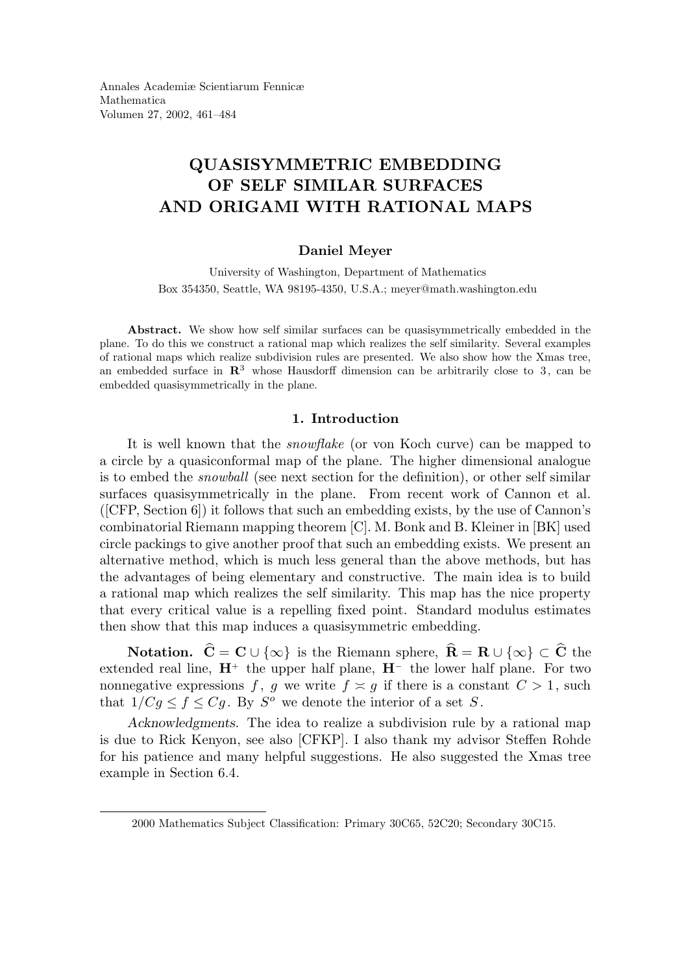Annales Academiæ Scientiarum Fennicæ Mathematica Volumen 27, 2002, 461–484

# QUASISYMMETRIC EMBEDDING OF SELF SIMILAR SURFACES AND ORIGAMI WITH RATIONAL MAPS

# Daniel Meyer

University of Washington, Department of Mathematics Box 354350, Seattle, WA 98195-4350, U.S.A.; meyer@math.washington.edu

Abstract. We show how self similar surfaces can be quasisymmetrically embedded in the plane. To do this we construct a rational map which realizes the self similarity. Several examples of rational maps which realize subdivision rules are presented. We also show how the Xmas tree, an embedded surface in  $\mathbb{R}^3$  whose Hausdorff dimension can be arbitrarily close to 3, can be embedded quasisymmetrically in the plane.

#### 1. Introduction

It is well known that the snowflake (or von Koch curve) can be mapped to a circle by a quasiconformal map of the plane. The higher dimensional analogue is to embed the snowball (see next section for the definition), or other self similar surfaces quasisymmetrically in the plane. From recent work of Cannon et al. ([CFP, Section 6]) it follows that such an embedding exists, by the use of Cannon's combinatorial Riemann mapping theorem [C]. M. Bonk and B. Kleiner in [BK] used circle packings to give another proof that such an embedding exists. We present an alternative method, which is much less general than the above methods, but has the advantages of being elementary and constructive. The main idea is to build a rational map which realizes the self similarity. This map has the nice property that every critical value is a repelling fixed point. Standard modulus estimates then show that this map induces a quasisymmetric embedding.

**Notation.**  $\hat{\mathbf{C}} = \mathbf{C} \cup \{\infty\}$  is the Riemann sphere,  $\hat{\mathbf{R}} = \mathbf{R} \cup \{\infty\} \subset \hat{\mathbf{C}}$  the extended real line,  $\mathbf{H}^+$  the upper half plane,  $\mathbf{H}^-$  the lower half plane. For two nonnegative expressions f, g we write  $f \approx g$  if there is a constant  $C > 1$ , such that  $1/Cg \le f \le Cg$ . By  $S^o$  we denote the interior of a set S.

Acknowledgments. The idea to realize a subdivision rule by a rational map is due to Rick Kenyon, see also [CFKP]. I also thank my advisor Steffen Rohde for his patience and many helpful suggestions. He also suggested the Xmas tree example in Section 6.4.

<sup>2000</sup> Mathematics Subject Classification: Primary 30C65, 52C20; Secondary 30C15.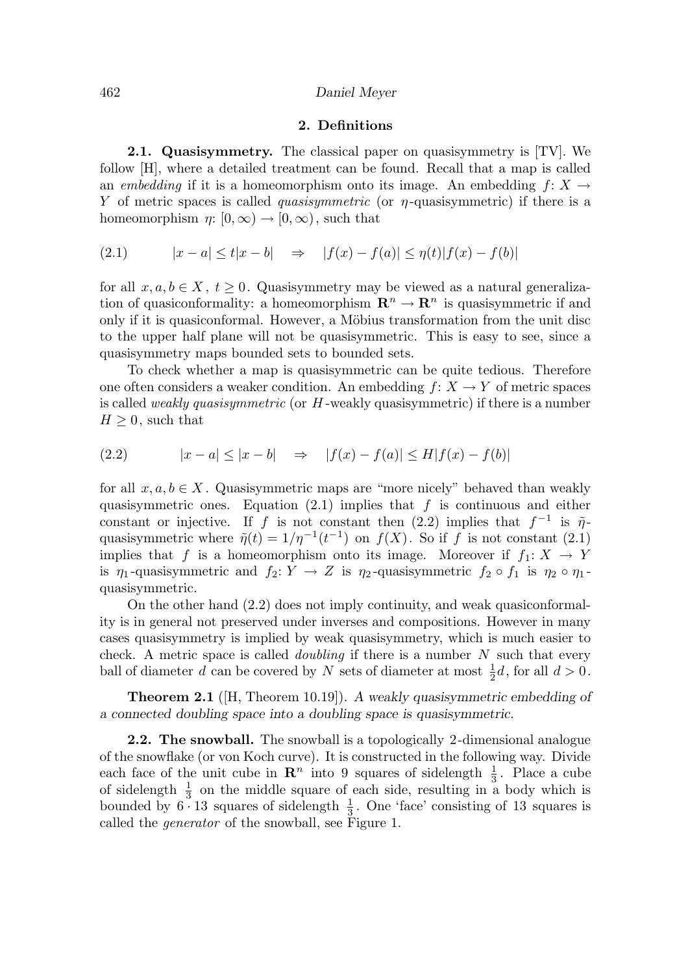#### 462 Daniel Meyer

#### 2. Definitions

**2.1. Quasisymmetry.** The classical paper on quasisymmetry is [TV]. We follow [H], where a detailed treatment can be found. Recall that a map is called an embedding if it is a homeomorphism onto its image. An embedding  $f: X \rightarrow$ Y of metric spaces is called *quasisymmetric* (or  $\eta$ -quasisymmetric) if there is a homeomorphism  $\eta: [0, \infty) \to [0, \infty)$ , such that

(2.1) 
$$
|x - a| \le t|x - b| \Rightarrow |f(x) - f(a)| \le \eta(t)|f(x) - f(b)|
$$

for all  $x, a, b \in X$ ,  $t > 0$ . Quasisymmetry may be viewed as a natural generalization of quasiconformality: a homeomorphism  $\mathbb{R}^n \to \mathbb{R}^n$  is quasisymmetric if and only if it is quasiconformal. However, a Möbius transformation from the unit disc to the upper half plane will not be quasisymmetric. This is easy to see, since a quasisymmetry maps bounded sets to bounded sets.

To check whether a map is quasisymmetric can be quite tedious. Therefore one often considers a weaker condition. An embedding  $f: X \to Y$  of metric spaces is called weakly quasisymmetric (or H -weakly quasisymmetric) if there is a number  $H \geq 0$ , such that

(2.2) 
$$
|x - a| \le |x - b| \Rightarrow |f(x) - f(a)| \le H|f(x) - f(b)|
$$

for all  $x, a, b \in X$ . Quasisymmetric maps are "more nicely" behaved than weakly quasisymmetric ones. Equation  $(2.1)$  implies that f is continuous and either constant or injective. If f is not constant then  $(2.2)$  implies that  $f^{-1}$  is  $\tilde{\eta}$ quasisymmetric where  $\tilde{\eta}(t) = 1/\eta^{-1}(t^{-1})$  on  $f(X)$ . So if f is not constant (2.1) implies that f is a homeomorphism onto its image. Moreover if  $f_1: X \to Y$ is  $\eta_1$ -quasisymmetric and  $f_2: Y \to Z$  is  $\eta_2$ -quasisymmetric  $f_2 \circ f_1$  is  $\eta_2 \circ \eta_1$ quasisymmetric.

On the other hand (2.2) does not imply continuity, and weak quasiconformality is in general not preserved under inverses and compositions. However in many cases quasisymmetry is implied by weak quasisymmetry, which is much easier to check. A metric space is called *doubling* if there is a number  $N$  such that every ball of diameter d can be covered by N sets of diameter at most  $\frac{1}{2}d$ , for all  $d > 0$ .

Theorem 2.1 ([H, Theorem 10.19]). A weakly quasisymmetric embedding of a connected doubling space into a doubling space is quasisymmetric.

2.2. The snowball. The snowball is a topologically 2-dimensional analogue of the snowflake (or von Koch curve). It is constructed in the following way. Divide each face of the unit cube in  $\mathbb{R}^n$  into 9 squares of sidelength  $\frac{1}{3}$ . Place a cube of sidelength  $\frac{1}{3}$  on the middle square of each side, resulting in a body which is bounded by  $6 \cdot 13$  squares of sidelength  $\frac{1}{3}$ . One 'face' consisting of 13 squares is called the generator of the snowball, see Figure 1.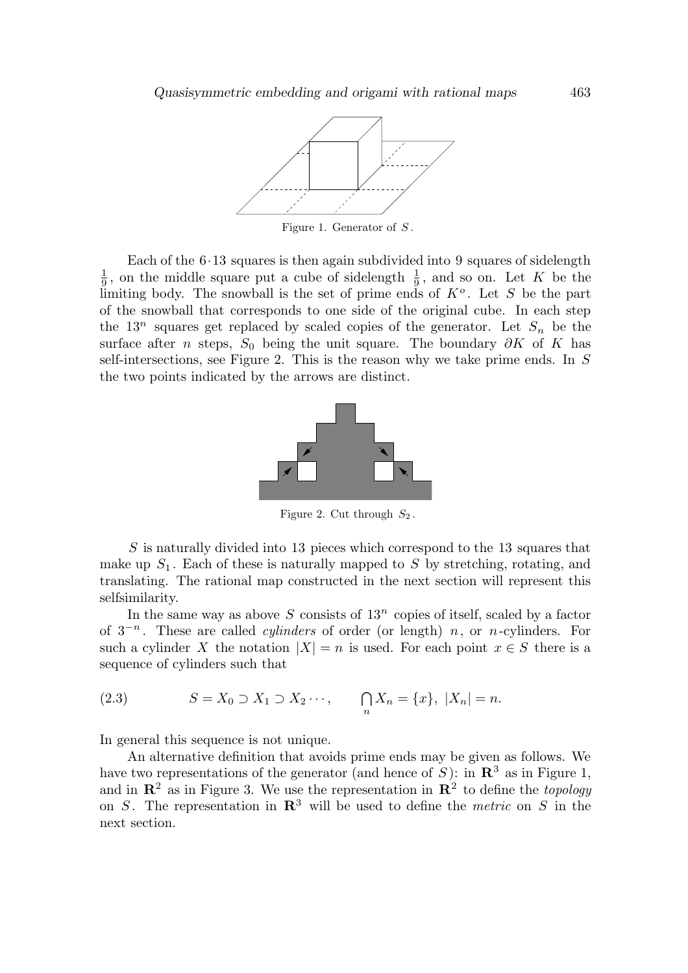

Figure 1. Generator of  $S$ .

Each of the  $6·13$  squares is then again subdivided into 9 squares of sidelength 1  $\frac{1}{9}$ , on the middle square put a cube of sidelength  $\frac{1}{9}$ , and so on. Let K be the limiting body. The snowball is the set of prime ends of  $K^o$ . Let S be the part of the snowball that corresponds to one side of the original cube. In each step the 13<sup>n</sup> squares get replaced by scaled copies of the generator. Let  $S_n$  be the surface after *n* steps,  $S_0$  being the unit square. The boundary ∂K of K has self-intersections, see Figure 2. This is the reason why we take prime ends. In S the two points indicated by the arrows are distinct.



Figure 2. Cut through  $S_2$ .

S is naturally divided into 13 pieces which correspond to the 13 squares that make up  $S_1$ . Each of these is naturally mapped to S by stretching, rotating, and translating. The rational map constructed in the next section will represent this selfsimilarity.

In the same way as above  $S$  consists of  $13^n$  copies of itself, scaled by a factor of  $3^{-n}$ . These are called *cylinders* of order (or length) *n*, or *n*-cylinders. For such a cylinder X the notation  $|X| = n$  is used. For each point  $x \in S$  there is a sequence of cylinders such that

(2.3) 
$$
S = X_0 \supset X_1 \supset X_2 \cdots, \qquad \bigcap_n X_n = \{x\}, \ |X_n| = n.
$$

In general this sequence is not unique.

An alternative definition that avoids prime ends may be given as follows. We have two representations of the generator (and hence of  $\check{S}$ ): in  $\mathbb{R}^3$  as in Figure 1, and in  $\mathbb{R}^2$  as in Figure 3. We use the representation in  $\mathbb{R}^2$  to define the *topology* on S. The representation in  $\mathbb{R}^3$  will be used to define the *metric* on S in the next section.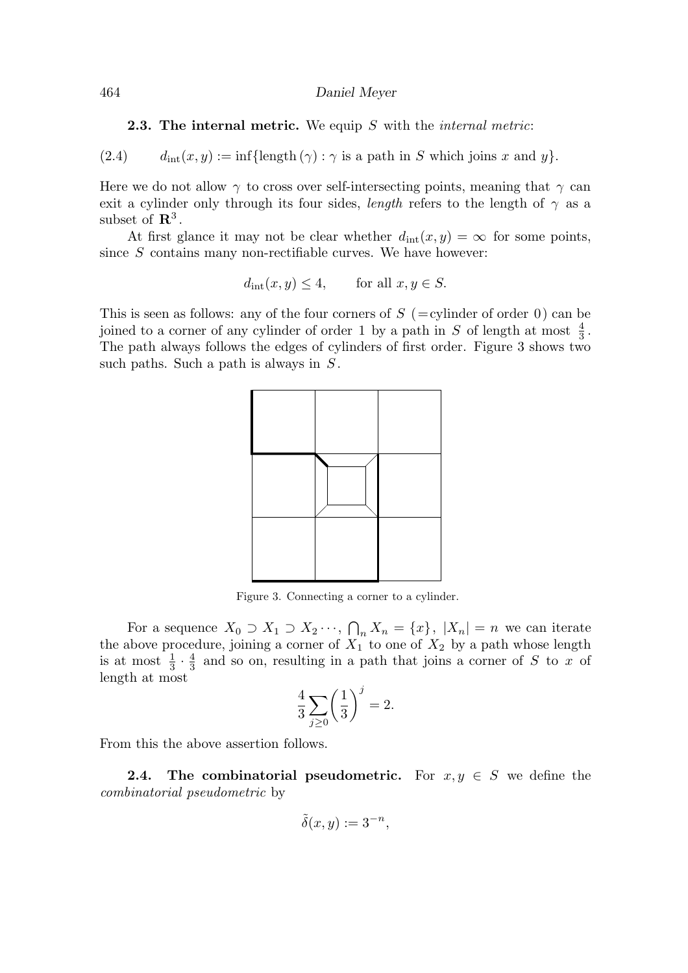#### 464 Daniel Meyer

# **2.3. The internal metric.** We equip  $S$  with the *internal metric*:

(2.4)  $d_{\text{int}}(x, y) := \inf{\{\text{length}(\gamma) : \gamma \text{ is a path in } S \text{ which joins } x \text{ and } y\}}.$ 

Here we do not allow  $\gamma$  to cross over self-intersecting points, meaning that  $\gamma$  can exit a cylinder only through its four sides, length refers to the length of  $\gamma$  as a subset of  $\mathbb{R}^3$ .

At first glance it may not be clear whether  $d_{\text{int}}(x, y) = \infty$  for some points, since  $S$  contains many non-rectifiable curves. We have however:

$$
d_{\rm int}(x, y) \le 4, \qquad \text{for all } x, y \in S.
$$

This is seen as follows: any of the four corners of  $S$  (=cylinder of order 0) can be joined to a corner of any cylinder of order 1 by a path in S of length at most  $\frac{4}{3}$ . The path always follows the edges of cylinders of first order. Figure 3 shows two such paths. Such a path is always in  $S$ .



Figure 3. Connecting a corner to a cylinder.

For a sequence  $X_0 \supset X_1 \supset X_2 \cdots$ ,  $\bigcap_n X_n = \{x\}$ ,  $|X_n| = n$  we can iterate the above procedure, joining a corner of  $X_1$  to one of  $X_2$  by a path whose length is at most  $\frac{1}{3} \cdot \frac{4}{3}$  $\frac{4}{3}$  and so on, resulting in a path that joins a corner of S to x of length at most

$$
\frac{4}{3}\sum_{j\geq 0} \left(\frac{1}{3}\right)^j = 2.
$$

From this the above assertion follows.

**2.4.** The combinatorial pseudometric. For  $x, y \in S$  we define the combinatorial pseudometric by

$$
\tilde{\delta}(x, y) := 3^{-n},
$$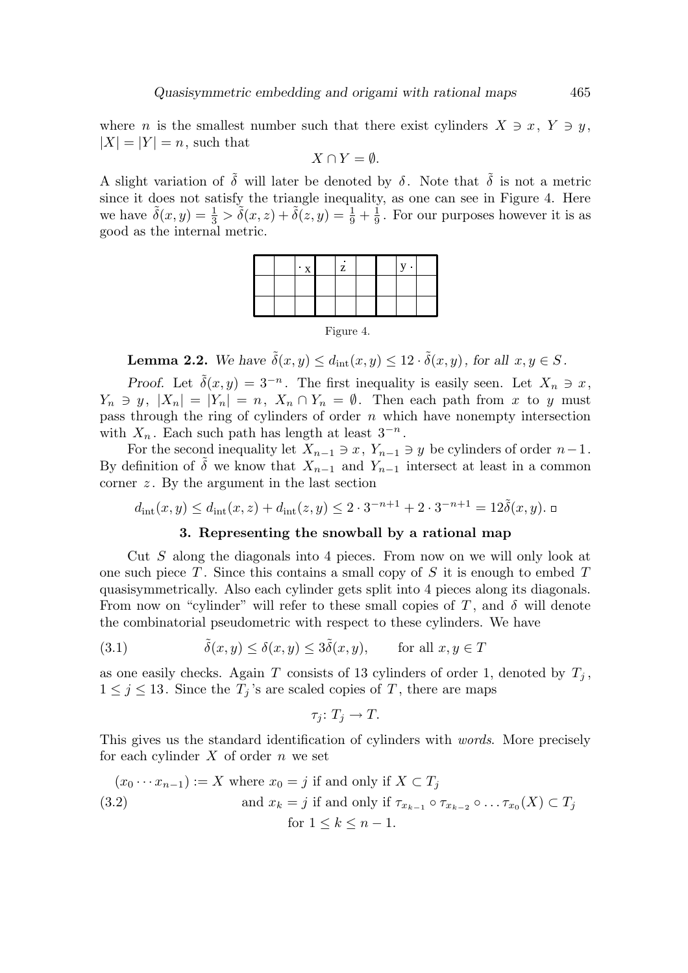where *n* is the smallest number such that there exist cylinders  $X \ni x, Y \ni y$ ,  $|X| = |Y| = n$ , such that

$$
X \cap Y = \emptyset.
$$

A slight variation of  $\tilde{\delta}$  will later be denoted by  $\delta$ . Note that  $\tilde{\delta}$  is not a metric since it does not satisfy the triangle inequality, as one can see in Figure 4. Here we have  $\tilde{\delta}(x, y) = \frac{1}{3} > \tilde{\delta}(x, z) + \tilde{\delta}(z, y) = \frac{1}{9} + \frac{1}{9}$  $\frac{1}{9}$ . For our purposes however it is as good as the internal metric.

Figure 4.

**Lemma 2.2.** We have  $\tilde{\delta}(x, y) \le d_{\text{int}}(x, y) \le 12 \cdot \tilde{\delta}(x, y)$ , for all  $x, y \in S$ .

Proof. Let  $\tilde{\delta}(x, y) = 3^{-n}$ . The first inequality is easily seen. Let  $X_n \ni x$ ,  $Y_n \ni y, |X_n| = |Y_n| = n, X_n \cap Y_n = \emptyset$ . Then each path from x to y must pass through the ring of cylinders of order  $n$  which have nonempty intersection with  $X_n$ . Each such path has length at least  $3^{-n}$ .

For the second inequality let  $X_{n-1} \ni x, Y_{n-1} \ni y$  be cylinders of order  $n-1$ . By definition of  $\tilde{\delta}$  we know that  $X_{n-1}$  and  $Y_{n-1}$  intersect at least in a common corner  $z$ . By the argument in the last section

$$
d_{\rm int}(x, y) \le d_{\rm int}(x, z) + d_{\rm int}(z, y) \le 2 \cdot 3^{-n+1} + 2 \cdot 3^{-n+1} = 12 \tilde{\delta}(x, y).
$$

# 3. Representing the snowball by a rational map

Cut S along the diagonals into 4 pieces. From now on we will only look at one such piece  $T$ . Since this contains a small copy of  $S$  it is enough to embed  $T$ quasisymmetrically. Also each cylinder gets split into 4 pieces along its diagonals. From now on "cylinder" will refer to these small copies of T, and  $\delta$  will denote the combinatorial pseudometric with respect to these cylinders. We have

(3.1) 
$$
\tilde{\delta}(x, y) \le \delta(x, y) \le 3\tilde{\delta}(x, y), \quad \text{for all } x, y \in T
$$

as one easily checks. Again T consists of 13 cylinders of order 1, denoted by  $T_i$ ,  $1 \leq j \leq 13$ . Since the  $T_j$ 's are scaled copies of T, there are maps

$$
\tau_j\colon T_j\to T.
$$

This gives us the standard identification of cylinders with words. More precisely for each cylinder  $X$  of order  $n$  we set

$$
(x_0 \cdots x_{n-1}) := X \text{ where } x_0 = j \text{ if and only if } X \subset T_j
$$
  
(3.2) and  $x_k = j \text{ if and only if } \tau_{x_{k-1}} \circ \tau_{x_{k-2}} \circ \dots \tau_{x_0}(X) \subset T_j$   
for  $1 \le k \le n-1$ .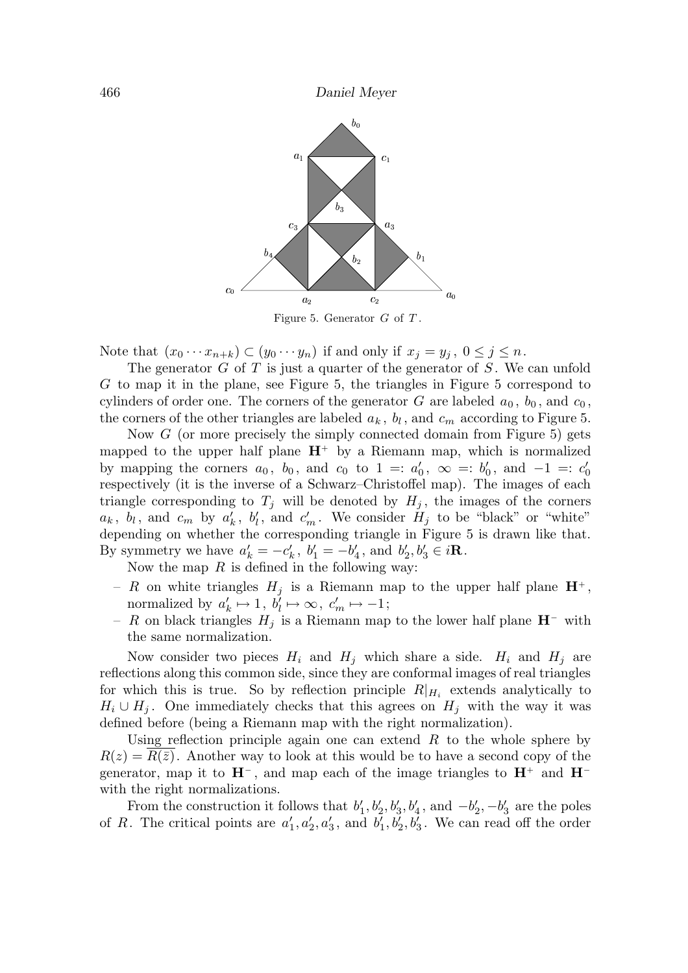

Note that  $(x_0 \cdots x_{n+k}) \subset (y_0 \cdots y_n)$  if and only if  $x_j = y_j$ ,  $0 \le j \le n$ .

The generator  $G$  of  $T$  is just a quarter of the generator of  $S$ . We can unfold G to map it in the plane, see Figure 5, the triangles in Figure 5 correspond to cylinders of order one. The corners of the generator G are labeled  $a_0$ ,  $b_0$ , and  $c_0$ , the corners of the other triangles are labeled  $a_k$ ,  $b_l$ , and  $c_m$  according to Figure 5.

Now G (or more precisely the simply connected domain from Figure 5) gets mapped to the upper half plane  $H^+$  by a Riemann map, which is normalized by mapping the corners  $a_0$ ,  $b_0$ , and  $c_0$  to  $1 = a'_0$ ,  $\infty = b'_0$ , and  $-1 = c'_0$ respectively (it is the inverse of a Schwarz–Christoffel map). The images of each triangle corresponding to  $T_j$  will be denoted by  $H_j$ , the images of the corners  $a_k$ ,  $b_l$ , and  $c_m$  by  $a'_k$ ,  $b'_l$ , and  $c'_m$ . We consider  $H_j$  to be "black" or "white" depending on whether the corresponding triangle in Figure 5 is drawn like that. By symmetry we have  $a'_k = -c'_k$ ,  $b'_1 = -b'_4$ , and  $b'_2, b'_3 \in i\mathbb{R}$ .

Now the map  $R$  is defined in the following way:

- R on white triangles  $H_i$  is a Riemann map to the upper half plane  $\mathbf{H}^+$ , normalized by  $a'_k \mapsto 1, b'_l \mapsto \infty, c'_m \mapsto -1;$
- R on black triangles  $H_j$  is a Riemann map to the lower half plane  $\mathbf{H}^-$  with the same normalization.

Now consider two pieces  $H_i$  and  $H_j$  which share a side.  $H_i$  and  $H_j$  are reflections along this common side, since they are conformal images of real triangles for which this is true. So by reflection principle  $R|_{H_i}$  extends analytically to  $H_i \cup H_j$ . One immediately checks that this agrees on  $H_j$  with the way it was defined before (being a Riemann map with the right normalization).

Using reflection principle again one can extend  $R$  to the whole sphere by  $R(z) = R(\overline{z})$ . Another way to look at this would be to have a second copy of the generator, map it to  $H^-$ , and map each of the image triangles to  $H^+$  and  $H^$ with the right normalizations.

From the construction it follows that  $b'_1, b'_2, b'_3, b'_4$ , and  $-b'_2, -b'_3$  are the poles of R. The critical points are  $a'_1, a'_2, a'_3$ , and  $b'_1, b'_2, b'_3$ . We can read off the order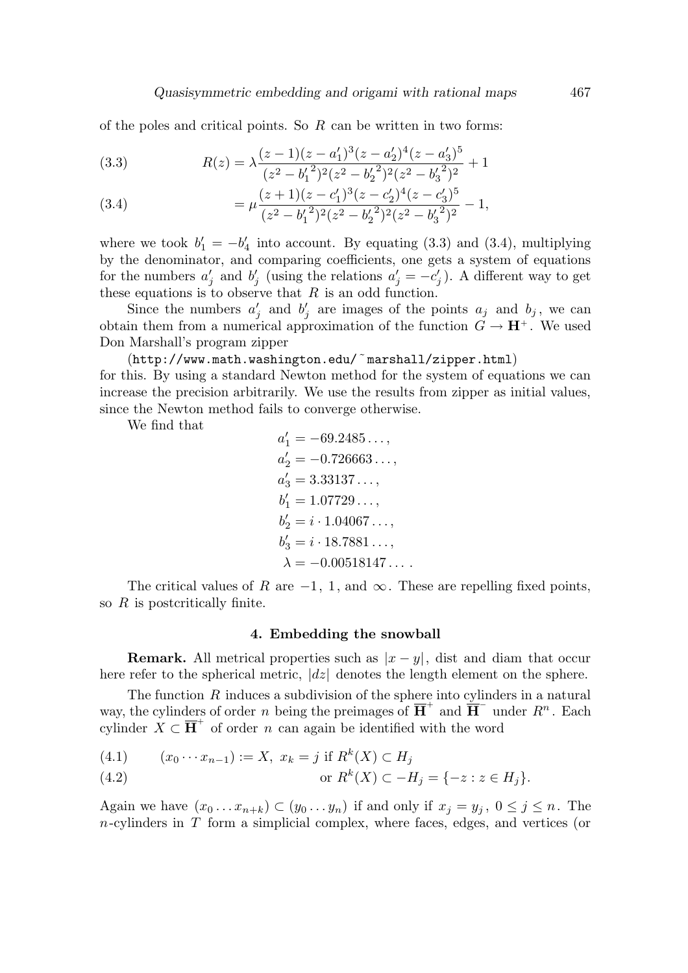of the poles and critical points. So  $R$  can be written in two forms:

(3.3) 
$$
R(z) = \lambda \frac{(z-1)(z-a'_1)^3(z-a'_2)^4(z-a'_3)^5}{(z^2-b'_1)^2(z^2-b'_2)^2(z^2-b'_3)^2} + 1
$$

(3.4) 
$$
= \mu \frac{(z+1)(z-c'_1)^3(z-c'_2)^4(z-c'_3)^5}{(z^2-b'_1)^2(z^2-b'_2)^2(z^2-b'_3)^2} - 1,
$$

where we took  $b'_1 = -b'_4$  into account. By equating (3.3) and (3.4), multiplying by the denominator, and comparing coefficients, one gets a system of equations for the numbers  $a'_j$  and  $b'_j$  (using the relations  $a'_j = -c'_j$ ). A different way to get these equations is to observe that  $R$  is an odd function.

Since the numbers  $a'_j$  and  $b'_j$  are images of the points  $a_j$  and  $b_j$ , we can obtain them from a numerical approximation of the function  $G \to \mathbf{H}^+$ . We used Don Marshall's program zipper

(http://www.math.washington.edu/˜marshall/zipper.html)

for this. By using a standard Newton method for the system of equations we can increase the precision arbitrarily. We use the results from zipper as initial values, since the Newton method fails to converge otherwise.

We find that

$$
a'_1 = -69.2485...,
$$
  
\n
$$
a'_2 = -0.726663...,
$$
  
\n
$$
a'_3 = 3.33137...,
$$
  
\n
$$
b'_1 = 1.07729...,
$$
  
\n
$$
b'_2 = i \cdot 1.04067...,
$$
  
\n
$$
b'_3 = i \cdot 18.7881...,
$$
  
\n
$$
\lambda = -0.00518147...
$$

The critical values of R are  $-1$ , 1, and  $\infty$ . These are repelling fixed points, so  $R$  is postcritically finite.

## 4. Embedding the snowball

**Remark.** All metrical properties such as  $|x - y|$ , dist and diam that occur here refer to the spherical metric,  $|dz|$  denotes the length element on the sphere.

The function  $R$  induces a subdivision of the sphere into cylinders in a natural way, the cylinders of order n being the preimages of  $\overline{H}^+$  and  $\overline{H}^-$  under  $R^n$ . Each cylinder  $X \subset \overline{H}^+$  of order n can again be identified with the word

(4.1) 
$$
(x_0 \cdots x_{n-1}) := X, \ x_k = j \text{ if } R^k(X) \subset H_j
$$

(4.2) or 
$$
R^k(X) \subset -H_j = \{-z : z \in H_j\}.
$$

Again we have  $(x_0 \ldots x_{n+k}) \subset (y_0 \ldots y_n)$  if and only if  $x_j = y_j$ ,  $0 \le j \le n$ . The  $n$ -cylinders in T form a simplicial complex, where faces, edges, and vertices (or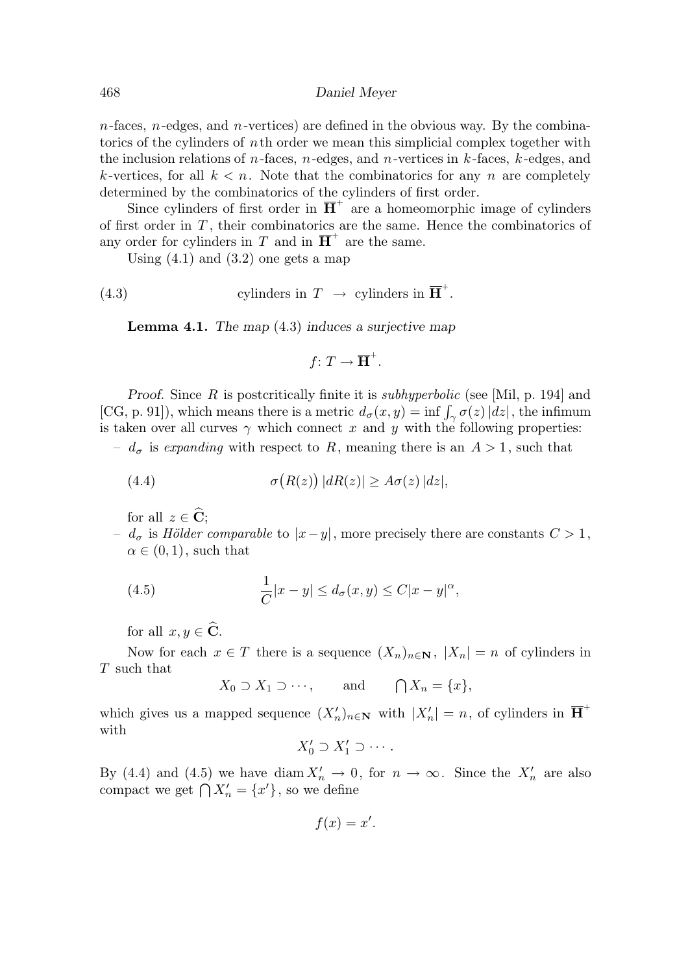$n$ -faces,  $n$ -edges, and  $n$ -vertices) are defined in the obvious way. By the combinatorics of the cylinders of nth order we mean this simplicial complex together with the inclusion relations of *n*-faces, *n*-edges, and *n*-vertices in  $k$ -faces,  $k$ -edges, and k-vertices, for all  $k < n$ . Note that the combinatorics for any n are completely determined by the combinatorics of the cylinders of first order.

Since cylinders of first order in  $\overline{H}^+$  are a homeomorphic image of cylinders of first order in  $T$ , their combinatorics are the same. Hence the combinatorics of any order for cylinders in T and in  $\overline{H}^+$  are the same.

Using  $(4.1)$  and  $(3.2)$  one gets a map

(4.3) cylinders in 
$$
T \to
$$
 cylinders in  $\overline{H}^+$ .

**Lemma 4.1.** The map  $(4.3)$  induces a surjective map

$$
f\colon T\to\overline{\mathbf{H}}^+.
$$

Proof. Since R is postcritically finite it is *subhyperbolic* (see [Mil, p. 194] and [CG, p. 91]), which means there is a metric  $d_{\sigma}(x, y) = \inf \int_{\gamma} \sigma(z) |dz|$ , the infimum is taken over all curves  $\gamma$  which connect x and y with the following properties:

–  $d_{\sigma}$  is expanding with respect to R, meaning there is an  $A > 1$ , such that

(4.4) 
$$
\sigma\big(R(z)\big)|dR(z)| \ge A\sigma(z)|dz|,
$$

for all  $z \in \widehat{C}$ ;

 $- d<sub>σ</sub>$  is Hölder comparable to  $|x-y|$ , more precisely there are constants  $C > 1$ ,  $\alpha \in (0,1)$ , such that

(4.5) 
$$
\frac{1}{C}|x-y| \leq d_{\sigma}(x,y) \leq C|x-y|^{\alpha},
$$

for all  $x, y \in \widehat{\mathbf{C}}$ .

Now for each  $x \in T$  there is a sequence  $(X_n)_{n \in \mathbb{N}}$ ,  $|X_n| = n$  of cylinders in T such that

$$
X_0 \supset X_1 \supset \cdots
$$
, and  $\bigcap X_n = \{x\},$ 

which gives us a mapped sequence  $(X'_n)_{n\in\mathbb{N}}$  with  $|X'_n|=n$ , of cylinders in  $\overline{\mathbf{H}}^+$ with

$$
X'_0\supset X'_1\supset\cdots.
$$

By (4.4) and (4.5) we have diam  $X'_n \to 0$ , for  $n \to \infty$ . Since the  $X'_n$  are also compact we get  $\bigcap X'_n = \{x'\}$ , so we define

$$
f(x) = x'.
$$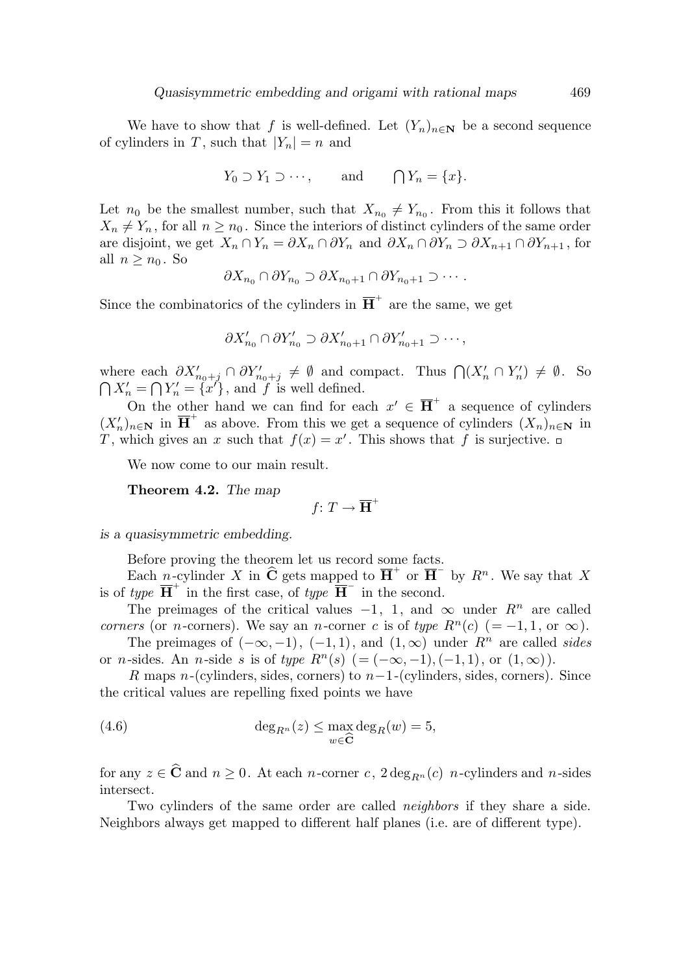We have to show that f is well-defined. Let  $(Y_n)_{n\in\mathbb{N}}$  be a second sequence of cylinders in T, such that  $|Y_n| = n$  and

$$
Y_0 \supset Y_1 \supset \cdots
$$
, and  $\bigcap Y_n = \{x\}.$ 

Let  $n_0$  be the smallest number, such that  $X_{n_0} \neq Y_{n_0}$ . From this it follows that  $X_n \neq Y_n$ , for all  $n \geq n_0$ . Since the interiors of distinct cylinders of the same order are disjoint, we get  $X_n \cap Y_n = \partial X_n \cap \partial Y_n$  and  $\partial X_n \cap \partial Y_n \supset \partial X_{n+1} \cap \partial Y_{n+1}$ , for all  $n \geq n_0$ . So

$$
\partial X_{n_0} \cap \partial Y_{n_0} \supset \partial X_{n_0+1} \cap \partial Y_{n_0+1} \supset \cdots.
$$

Since the combinatorics of the cylinders in  $\overline{H}^+$  are the same, we get

$$
\partial X'_{n_0} \cap \partial Y'_{n_0} \supset \partial X'_{n_0+1} \cap \partial Y'_{n_0+1} \supset \cdots,
$$

where each  $\partial X'_{n_0+j} \cap \partial Y'_{n_0+j} \neq \emptyset$  and compact. Thus  $\bigcap (X'_n \cap Y'_n) \neq \emptyset$ . So  $\bigcap X'_n = \bigcap Y'_n = \{x'\},$  and f is well defined.

On the other hand we can find for each  $x' \in \overline{H}^+$  a sequence of cylinders  $(X'_n)_{n\in\mathbb{N}}$  in  $\overline{\mathbf{H}}^+$  as above. From this we get a sequence of cylinders  $(X_n)_{n\in\mathbb{N}}$  in T, which gives an x such that  $f(x) = x'$ . This shows that f is surjective.

We now come to our main result.

Theorem 4.2. The map

 $f: T \to \overline{\mathbf{H}}^+$ 

is a quasisymmetric embedding.

Before proving the theorem let us record some facts.

Each n-cylinder X in  $\widehat{C}$  gets mapped to  $\overline{H}^+$  or  $\overline{H}^-$  by  $R^n$ . We say that X is of type  $\overline{H}^+$  in the first case, of type  $\overline{H}^-$  in the second.

The preimages of the critical values  $-1$ , 1, and  $\infty$  under  $R^n$  are called corners (or n-corners). We say an n-corner c is of type  $R<sup>n</sup>(c)$  (= -1, 1, or  $\infty$ ).

The preimages of  $(-\infty, -1)$ ,  $(-1, 1)$ , and  $(1, \infty)$  under  $R^n$  are called sides or n-sides. An n-side s is of type  $R^n(s)$  (=  $(-\infty, -1), (-1, 1)$ , or  $(1, \infty)$ ).

R maps n-(cylinders, sides, corners) to  $n-1$ -(cylinders, sides, corners). Since the critical values are repelling fixed points we have

(4.6) 
$$
\deg_{R^n}(z) \leq \max_{w \in \widehat{\mathbf{C}}} \deg_R(w) = 5,
$$

for any  $z \in \widehat{\mathbf{C}}$  and  $n \geq 0$ . At each n-corner c,  $2 \deg_{B_n}(c)$  n-cylinders and n-sides intersect.

Two cylinders of the same order are called *neighbors* if they share a side. Neighbors always get mapped to different half planes (i.e. are of different type).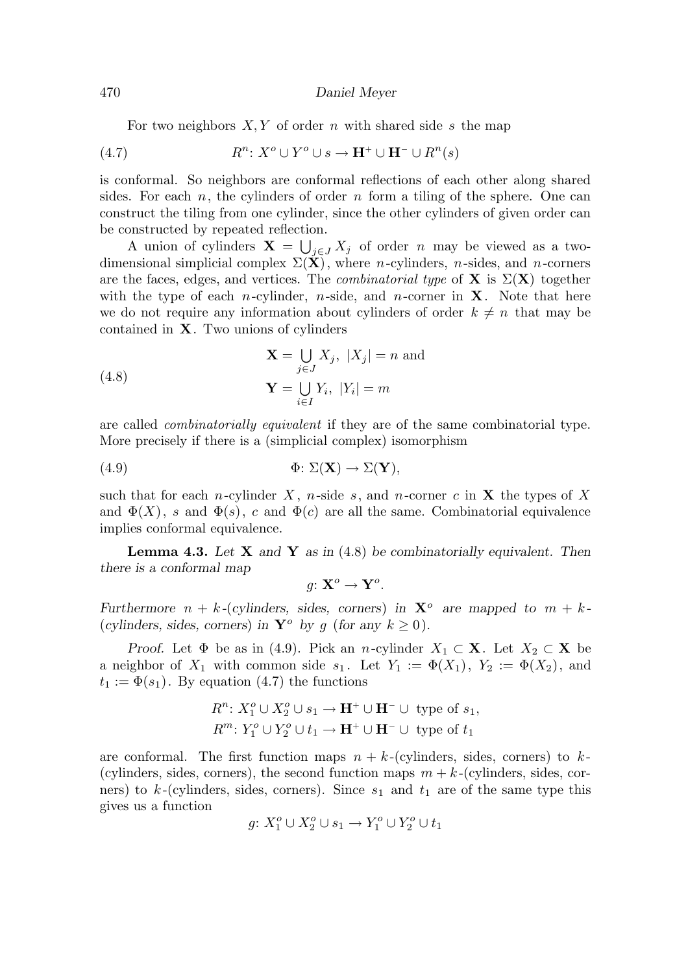#### 470 Daniel Meyer

For two neighbors  $X, Y$  of order n with shared side s the map

(4.7) 
$$
R^n: X^o \cup Y^o \cup s \to \mathbf{H}^+ \cup \mathbf{H}^- \cup R^n(s)
$$

is conformal. So neighbors are conformal reflections of each other along shared sides. For each n, the cylinders of order n form a tiling of the sphere. One can construct the tiling from one cylinder, since the other cylinders of given order can be constructed by repeated reflection.

A union of cylinders  $\mathbf{X} = \bigcup_{j \in J} X_j$  of order n may be viewed as a twodimensional simplicial complex  $\Sigma(\mathbf{X})$ , where *n*-cylinders, *n*-sides, and *n*-corners are the faces, edges, and vertices. The *combinatorial type* of **X** is  $\Sigma(X)$  together with the type of each *n*-cylinder, *n*-side, and *n*-corner in **X**. Note that here we do not require any information about cylinders of order  $k \neq n$  that may be contained in X. Two unions of cylinders

(4.8) 
$$
\mathbf{X} = \bigcup_{j \in J} X_j, \ |X_j| = n \text{ and}
$$

$$
\mathbf{Y} = \bigcup_{i \in I} Y_i, \ |Y_i| = m
$$

are called combinatorially equivalent if they are of the same combinatorial type. More precisely if there is a (simplicial complex) isomorphism

(4.9) 
$$
\Phi\colon \Sigma(\mathbf{X}) \to \Sigma(\mathbf{Y}),
$$

such that for each n-cylinder X, n-side s, and n-corner c in  $X$  the types of X and  $\Phi(X)$ , s and  $\Phi(s)$ , c and  $\Phi(c)$  are all the same. Combinatorial equivalence implies conformal equivalence.

**Lemma 4.3.** Let  $X$  and  $Y$  as in (4.8) be combinatorially equivalent. Then there is a conformal map

$$
g\colon \mathbf{X}^o \to \mathbf{Y}^o.
$$

Furthermore  $n + k$ -(cylinders, sides, corners) in  $X^{\circ}$  are mapped to  $m + k$ -(cylinders, sides, corners) in  $\mathbf{Y}^o$  by g (for any  $k > 0$ ).

Proof. Let  $\Phi$  be as in (4.9). Pick an n-cylinder  $X_1 \subset \mathbf{X}$ . Let  $X_2 \subset \mathbf{X}$  be a neighbor of  $X_1$  with common side  $s_1$ . Let  $Y_1 := \Phi(X_1)$ ,  $Y_2 := \Phi(X_2)$ , and  $t_1 := \Phi(s_1)$ . By equation (4.7) the functions

$$
R^n: X_1^o \cup X_2^o \cup s_1 \to \mathbf{H}^+ \cup \mathbf{H}^- \cup \text{ type of } s_1,
$$
  

$$
R^m: Y_1^o \cup Y_2^o \cup t_1 \to \mathbf{H}^+ \cup \mathbf{H}^- \cup \text{ type of } t_1
$$

are conformal. The first function maps  $n + k$ -(cylinders, sides, corners) to k-(cylinders, sides, corners), the second function maps  $m + k$ -(cylinders, sides, corners) to  $k$ -(cylinders, sides, corners). Since  $s_1$  and  $t_1$  are of the same type this gives us a function

$$
g\colon X_1^o\cup X_2^o\cup s_1\to Y_1^o\cup Y_2^o\cup t_1
$$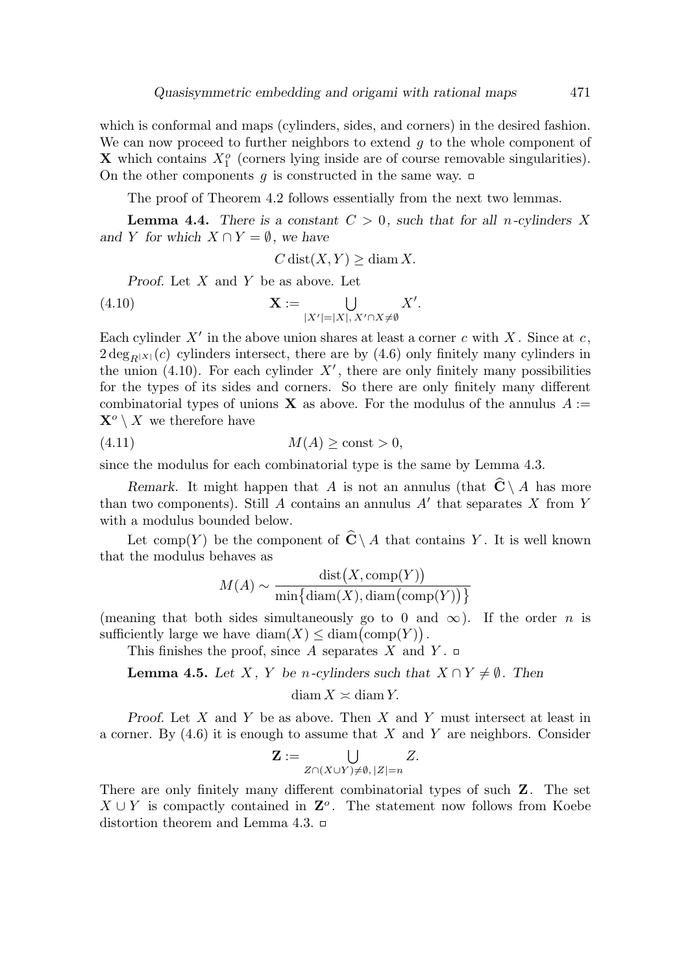which is conformal and maps (cylinders, sides, and corners) in the desired fashion. We can now proceed to further neighbors to extend  $g$  to the whole component of **X** which contains  $X_1^o$  (corners lying inside are of course removable singularities). On the other components q is constructed in the same way.  $\Box$ 

The proof of Theorem 4.2 follows essentially from the next two lemmas.

**Lemma 4.4.** There is a constant  $C > 0$ , such that for all n-cylinders X and Y for which  $X \cap Y = \emptyset$ , we have

$$
C\operatorname{dist}(X,Y) \ge \operatorname{diam} X.
$$

Proof. Let X and Y be as above. Let

(4.10) 
$$
\mathbf{X} := \bigcup_{|X'|=|X|, X' \cap X \neq \emptyset} X'.
$$

Each cylinder  $X'$  in the above union shares at least a corner c with X. Since at c,  $2 \deg_{R|X|}(c)$  cylinders intersect, there are by (4.6) only finitely many cylinders in the union (4.10). For each cylinder  $X'$ , there are only finitely many possibilities for the types of its sides and corners. So there are only finitely many different combinatorial types of unions **X** as above. For the modulus of the annulus  $A :=$  $\mathbf{X}^o \setminus X$  we therefore have

$$
(4.11) \t\t M(A) \ge \text{const} > 0,
$$

since the modulus for each combinatorial type is the same by Lemma 4.3.

Remark. It might happen that A is not an annulus (that  $\widehat{C} \setminus A$  has more than two components). Still A contains an annulus  $A'$  that separates X from Y with a modulus bounded below.

Let comp(Y) be the component of  $\hat{\mathbf{C}} \setminus A$  that contains Y. It is well known that the modulus behaves as

$$
M(A) \sim \frac{\text{dist}(X, \text{comp}(Y))}{\min{\{\text{diam}(X),\text{diam}(\text{comp}(Y))\}}}
$$

(meaning that both sides simultaneously go to 0 and  $\infty$ ). If the order *n* is sufficiently large we have  $\text{diam}(X) \leq \text{diam}(\text{comp}(Y)).$ 

This finishes the proof, since A separates X and Y.  $\Box$ 

**Lemma 4.5.** Let X, Y be n-cylinders such that  $X \cap Y \neq \emptyset$ . Then

 $diam X \approx diam Y$ .

Proof. Let  $X$  and  $Y$  be as above. Then  $X$  and  $Y$  must intersect at least in a corner. By  $(4.6)$  it is enough to assume that X and Y are neighbors. Consider

$$
\mathbf{Z} := \bigcup_{Z \cap (X \cup Y) \neq \emptyset, |Z| = n} Z.
$$

There are only finitely many different combinatorial types of such Z. The set  $X \cup Y$  is compactly contained in  $\mathbf{Z}^o$ . The statement now follows from Koebe distortion theorem and Lemma 4.3.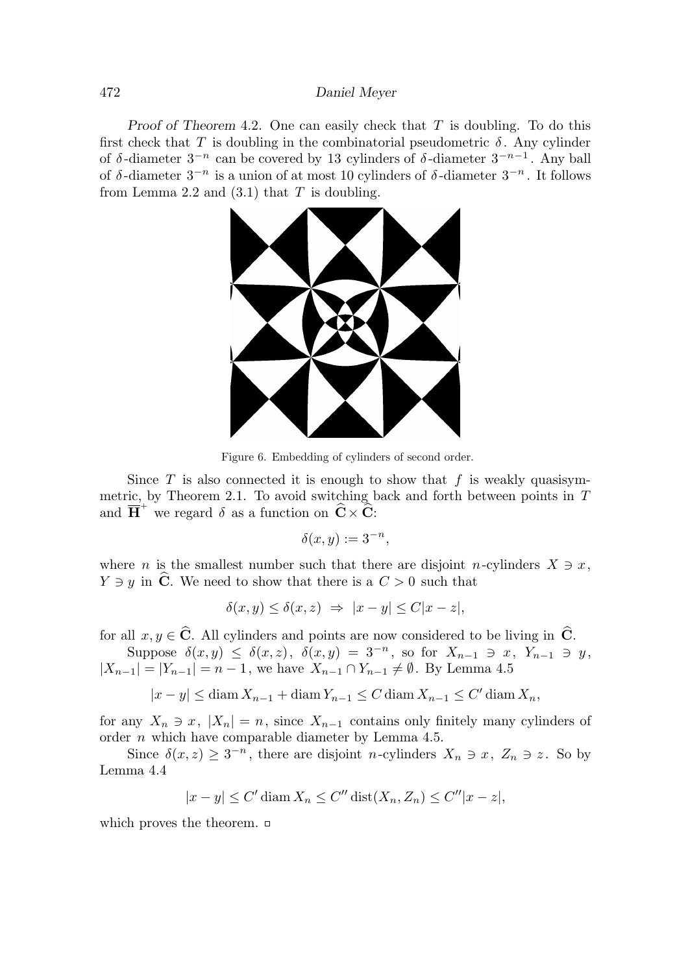# 472 Daniel Meyer

Proof of Theorem 4.2. One can easily check that  $T$  is doubling. To do this first check that T is doubling in the combinatorial pseudometric  $\delta$ . Any cylinder of  $\delta$ -diameter  $3^{-n}$  can be covered by 13 cylinders of  $\delta$ -diameter  $3^{-n-1}$ . Any ball of  $\delta$ -diameter  $3^{-n}$  is a union of at most 10 cylinders of  $\delta$ -diameter  $3^{-n}$ . It follows from Lemma 2.2 and  $(3.1)$  that T is doubling.



Figure 6. Embedding of cylinders of second order.

Since  $T$  is also connected it is enough to show that  $f$  is weakly quasisymmetric, by Theorem 2.1. To avoid switching back and forth between points in  $T$ and  $\overline{H}^+$  we regard  $\delta$  as a function on  $\widehat{C} \times \widehat{C}$ :

$$
\delta(x, y) := 3^{-n},
$$

where *n* is the smallest number such that there are disjoint *n*-cylinders  $X \ni x$ ,  $Y \ni y$  in  $\widehat{\mathbf{C}}$ . We need to show that there is a  $C > 0$  such that

$$
\delta(x, y) \le \delta(x, z) \Rightarrow |x - y| \le C|x - z|,
$$

for all  $x, y \in \hat{C}$ . All cylinders and points are now considered to be living in  $\hat{C}$ .

Suppose  $\delta(x,y) \leq \delta(x,z)$ ,  $\delta(x,y) = 3^{-n}$ , so for  $X_{n-1} \ni x$ ,  $Y_{n-1} \ni y$ ,  $|X_{n-1}| = |Y_{n-1}| = n-1$ , we have  $X_{n-1} \cap Y_{n-1} \neq \emptyset$ . By Lemma 4.5

$$
|x - y| \le \operatorname{diam} X_{n-1} + \operatorname{diam} Y_{n-1} \le C \operatorname{diam} X_{n-1} \le C' \operatorname{diam} X_n,
$$

for any  $X_n \ni x$ ,  $|X_n| = n$ , since  $X_{n-1}$  contains only finitely many cylinders of order n which have comparable diameter by Lemma 4.5.

Since  $\delta(x, z) \geq 3^{-n}$ , there are disjoint *n*-cylinders  $X_n \ni x, Z_n \ni z$ . So by Lemma 4.4

$$
|x - y| \le C' \operatorname{diam} X_n \le C'' \operatorname{dist}(X_n, Z_n) \le C'' |x - z|,
$$

which proves the theorem.  $\Box$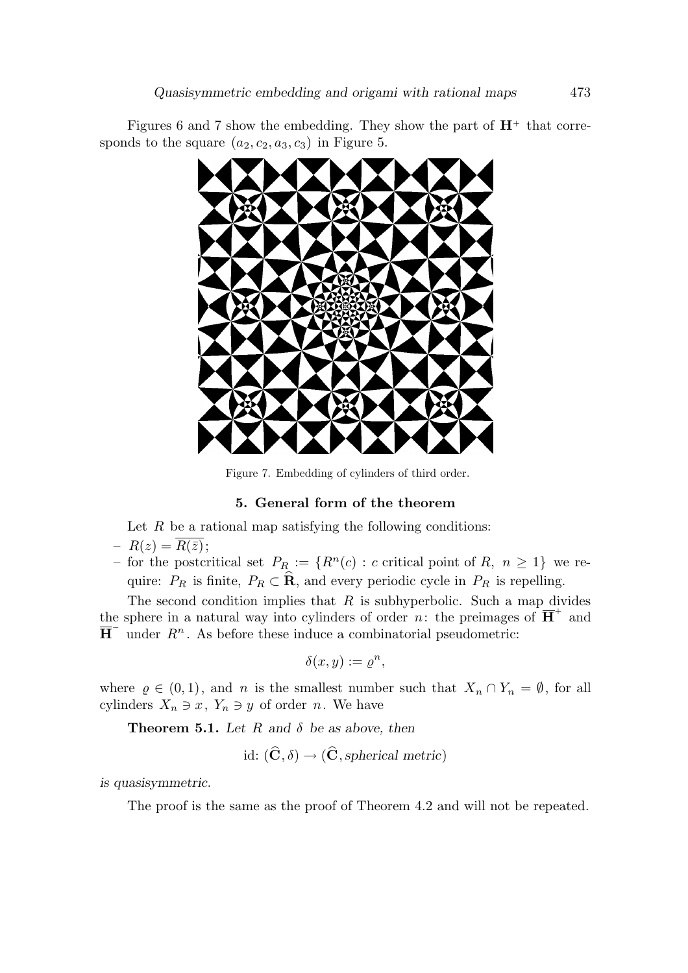Figures 6 and 7 show the embedding. They show the part of  $H^+$  that corresponds to the square  $(a_2, c_2, a_3, c_3)$  in Figure 5.



Figure 7. Embedding of cylinders of third order.

# 5. General form of the theorem

Let  $R$  be a rational map satisfying the following conditions:

$$
- R(z) = \overline{R(\bar{z})};
$$

– for the postcritical set  $P_R := \{R^n(c) : c \text{ critical point of } R, n \geq 1\}$  we require:  $P_R$  is finite,  $P_R \subset \mathbf{R}$ , and every periodic cycle in  $P_R$  is repelling.

The second condition implies that  $R$  is subhyperbolic. Such a map divides the sphere in a natural way into cylinders of order n: the preimages of  $\overline{H}^+$  and  $\overline{H}^-$  under  $R^n$ . As before these induce a combinatorial pseudometric:

$$
\delta(x,y) := \varrho^n,
$$

where  $\rho \in (0,1)$ , and n is the smallest number such that  $X_n \cap Y_n = \emptyset$ , for all cylinders  $X_n \ni x, Y_n \ni y$  of order n. We have

**Theorem 5.1.** Let R and  $\delta$  be as above, then

$$
id\colon (\mathbf{C}, \delta) \to (\mathbf{C}, spherical \ metric)
$$

is quasisymmetric.

The proof is the same as the proof of Theorem 4.2 and will not be repeated.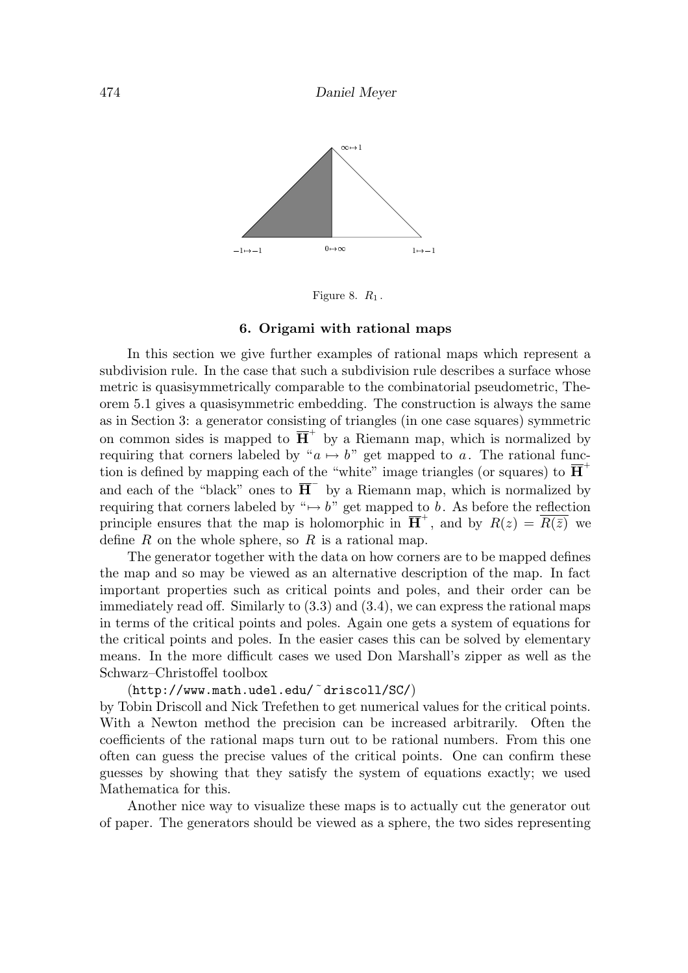

Figure 8.  $R_1$ .

#### 6. Origami with rational maps

In this section we give further examples of rational maps which represent a subdivision rule. In the case that such a subdivision rule describes a surface whose metric is quasisymmetrically comparable to the combinatorial pseudometric, Theorem 5.1 gives a quasisymmetric embedding. The construction is always the same as in Section 3: a generator consisting of triangles (in one case squares) symmetric on common sides is mapped to  $\overline{H}^+$  by a Riemann map, which is normalized by requiring that corners labeled by " $a \mapsto b$ " get mapped to a. The rational function is defined by mapping each of the "white" image triangles (or squares) to  $\overline{H}$ <sup>+</sup> and each of the "black" ones to  $\overline{H}^-$  by a Riemann map, which is normalized by requiring that corners labeled by " $\mapsto b$ " get mapped to b. As before the reflection principle ensures that the map is holomorphic in  $\overline{H}^+$ , and by  $R(z) = \overline{R(\bar{z})}$  we define  $R$  on the whole sphere, so  $R$  is a rational map.

The generator together with the data on how corners are to be mapped defines the map and so may be viewed as an alternative description of the map. In fact important properties such as critical points and poles, and their order can be immediately read off. Similarly to (3.3) and (3.4), we can express the rational maps in terms of the critical points and poles. Again one gets a system of equations for the critical points and poles. In the easier cases this can be solved by elementary means. In the more difficult cases we used Don Marshall's zipper as well as the Schwarz–Christoffel toolbox

# (http://www.math.udel.edu/˜driscoll/SC/)

by Tobin Driscoll and Nick Trefethen to get numerical values for the critical points. With a Newton method the precision can be increased arbitrarily. Often the coefficients of the rational maps turn out to be rational numbers. From this one often can guess the precise values of the critical points. One can confirm these guesses by showing that they satisfy the system of equations exactly; we used Mathematica for this.

Another nice way to visualize these maps is to actually cut the generator out of paper. The generators should be viewed as a sphere, the two sides representing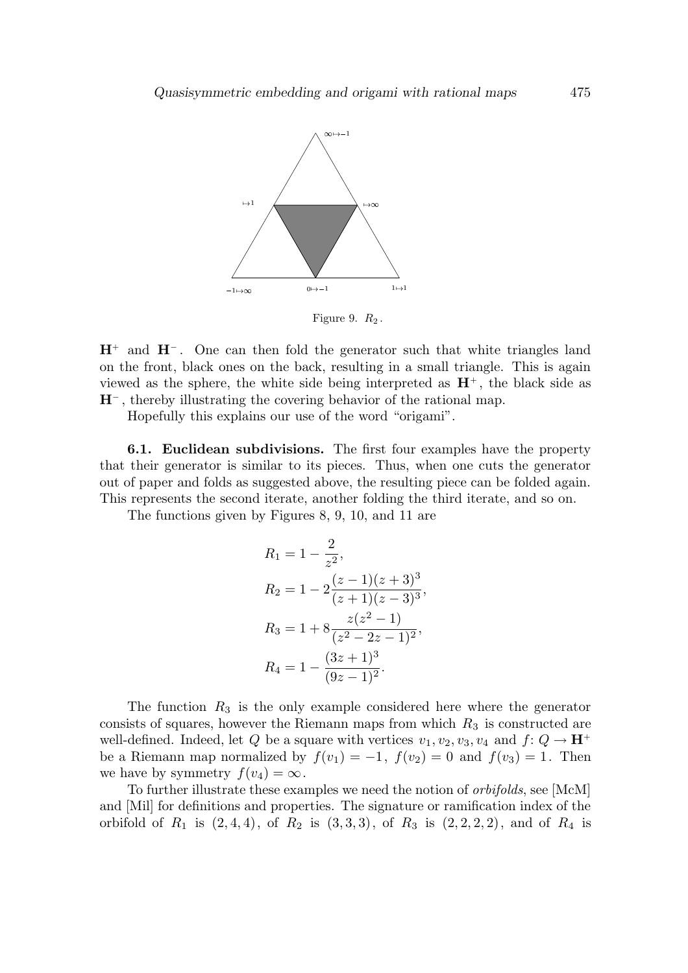

Figure 9.  $R_2$ .

 $H^+$  and  $H^-$ . One can then fold the generator such that white triangles land on the front, black ones on the back, resulting in a small triangle. This is again viewed as the sphere, the white side being interpreted as  $H^+$ , the black side as H<sup>−</sup> , thereby illustrating the covering behavior of the rational map.

Hopefully this explains our use of the word "origami".

6.1. Euclidean subdivisions. The first four examples have the property that their generator is similar to its pieces. Thus, when one cuts the generator out of paper and folds as suggested above, the resulting piece can be folded again. This represents the second iterate, another folding the third iterate, and so on.

The functions given by Figures 8, 9, 10, and 11 are

$$
R_1 = 1 - \frac{2}{z^2},
$$
  
\n
$$
R_2 = 1 - 2\frac{(z-1)(z+3)^3}{(z+1)(z-3)^3},
$$
  
\n
$$
R_3 = 1 + 8\frac{z(z^2-1)}{(z^2-2z-1)^2},
$$
  
\n
$$
R_4 = 1 - \frac{(3z+1)^3}{(9z-1)^2}.
$$

The function  $R_3$  is the only example considered here where the generator consists of squares, however the Riemann maps from which  $R_3$  is constructed are well-defined. Indeed, let Q be a square with vertices  $v_1, v_2, v_3, v_4$  and  $f: Q \to \mathbf{H}^+$ be a Riemann map normalized by  $f(v_1) = -1$ ,  $f(v_2) = 0$  and  $f(v_3) = 1$ . Then we have by symmetry  $f(v_4) = \infty$ .

To further illustrate these examples we need the notion of orbifolds, see [McM] and [Mil] for definitions and properties. The signature or ramification index of the orbifold of  $R_1$  is  $(2, 4, 4)$ , of  $R_2$  is  $(3, 3, 3)$ , of  $R_3$  is  $(2, 2, 2, 2)$ , and of  $R_4$  is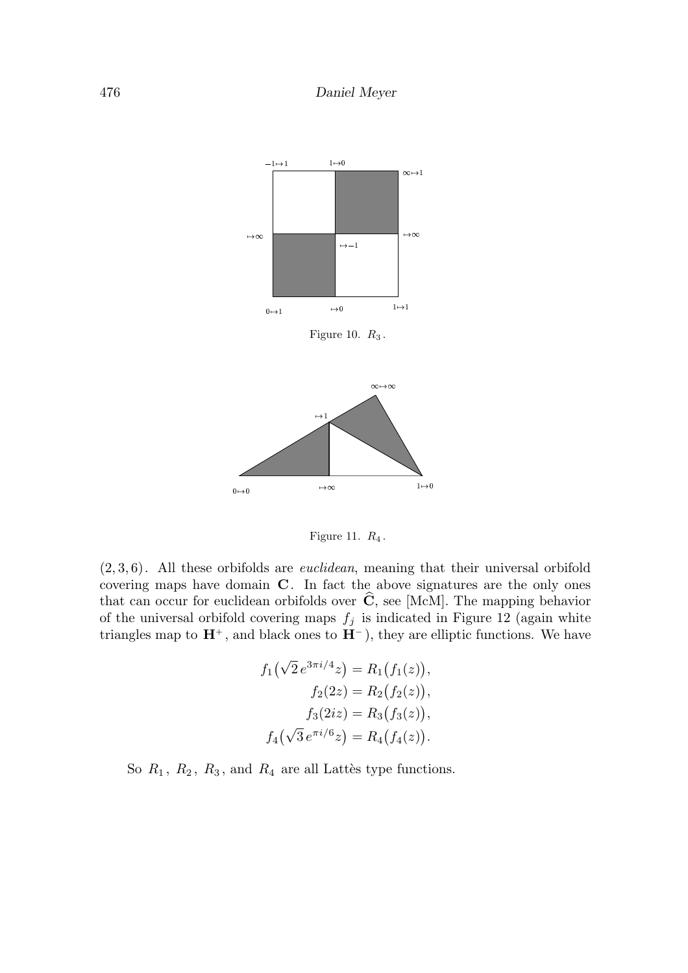

Figure 11.  $R_4$ .

 $(2, 3, 6)$ . All these orbifolds are *euclidean*, meaning that their universal orbifold covering maps have domain C. In fact the above signatures are the only ones that can occur for euclidean orbifolds over  $\hat{\mathbf{C}}$ , see [McM]. The mapping behavior of the universal orbifold covering maps  $f_j$  is indicated in Figure 12 (again white triangles map to  $\mathbf{H}^+$ , and black ones to  $\dot{\mathbf{H}}^-$ ), they are elliptic functions. We have

$$
f_1(\sqrt{2}e^{3\pi i/4}z) = R_1(f_1(z)),
$$
  
\n
$$
f_2(2z) = R_2(f_2(z)),
$$
  
\n
$$
f_3(2iz) = R_3(f_3(z)),
$$
  
\n
$$
f_4(\sqrt{3}e^{\pi i/6}z) = R_4(f_4(z)).
$$

So  $R_1$ ,  $R_2$ ,  $R_3$ , and  $R_4$  are all Lattès type functions.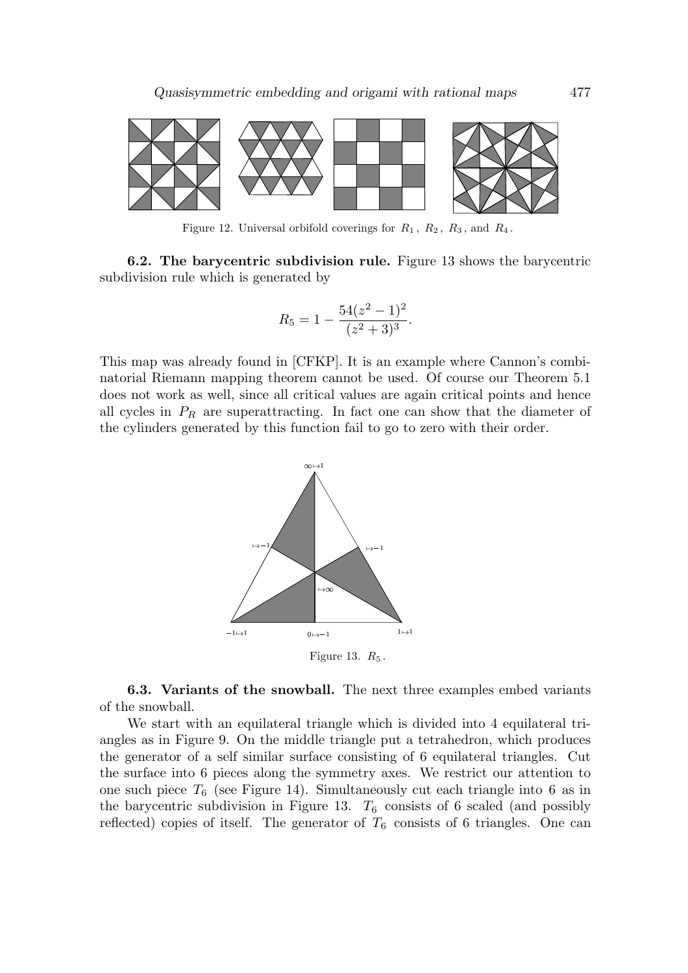

Figure 12. Universal orbifold coverings for  $R_1$ ,  $R_2$ ,  $R_3$ , and  $R_4$ .

6.2. The barycentric subdivision rule. Figure 13 shows the barycentric subdivision rule which is generated by

$$
R_5 = 1 - \frac{54(z^2 - 1)^2}{(z^2 + 3)^3}.
$$

This map was already found in [CFKP]. It is an example where Cannon's combinatorial Riemann mapping theorem cannot be used. Of course our Theorem 5.1 does not work as well, since all critical values are again critical points and hence all cycles in  $P_R$  are superattracting. In fact one can show that the diameter of the cylinders generated by this function fail to go to zero with their order.



6.3. Variants of the snowball. The next three examples embed variants of the snowball.

We start with an equilateral triangle which is divided into 4 equilateral triangles as in Figure 9. On the middle triangle put a tetrahedron, which produces the generator of a self similar surface consisting of 6 equilateral triangles. Cut the surface into 6 pieces along the symmetry axes. We restrict our attention to one such piece  $T_6$  (see Figure 14). Simultaneously cut each triangle into 6 as in the barycentric subdivision in Figure 13.  $T_6$  consists of 6 scaled (and possibly reflected) copies of itself. The generator of  $T_6$  consists of 6 triangles. One can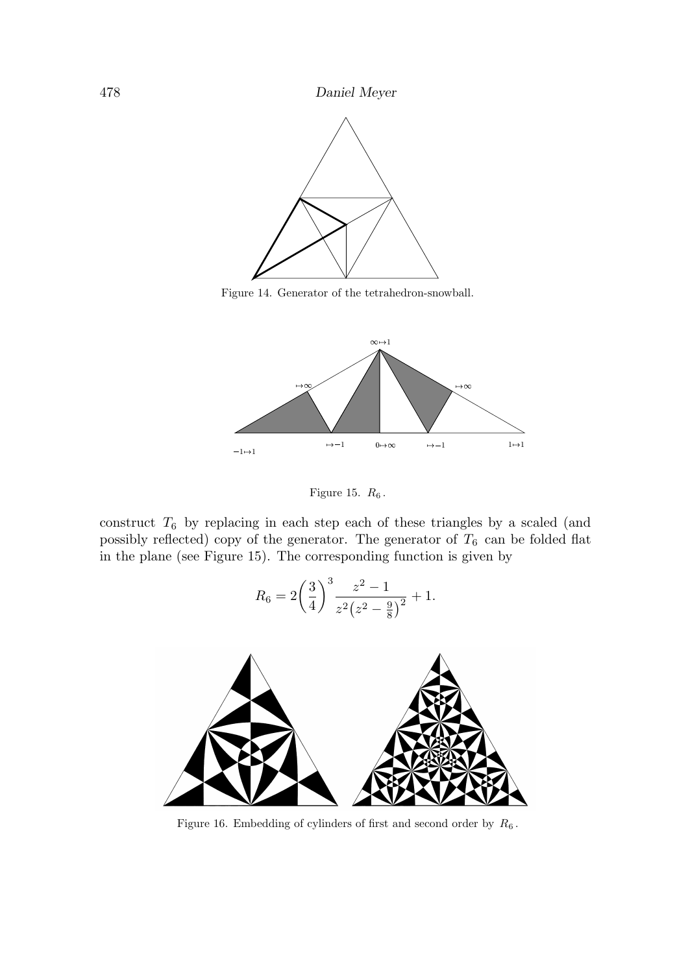

Figure 14. Generator of the tetrahedron-snowball.



Figure 15.  $R_6$ .

construct  $T_6$  by replacing in each step each of these triangles by a scaled (and possibly reflected) copy of the generator. The generator of  $T_6$  can be folded flat in the plane (see Figure 15). The corresponding function is given by

$$
R_6 = 2\left(\frac{3}{4}\right)^3 \frac{z^2 - 1}{z^2(z^2 - \frac{9}{8})^2} + 1.
$$



Figure 16. Embedding of cylinders of first and second order by  $R_6$ .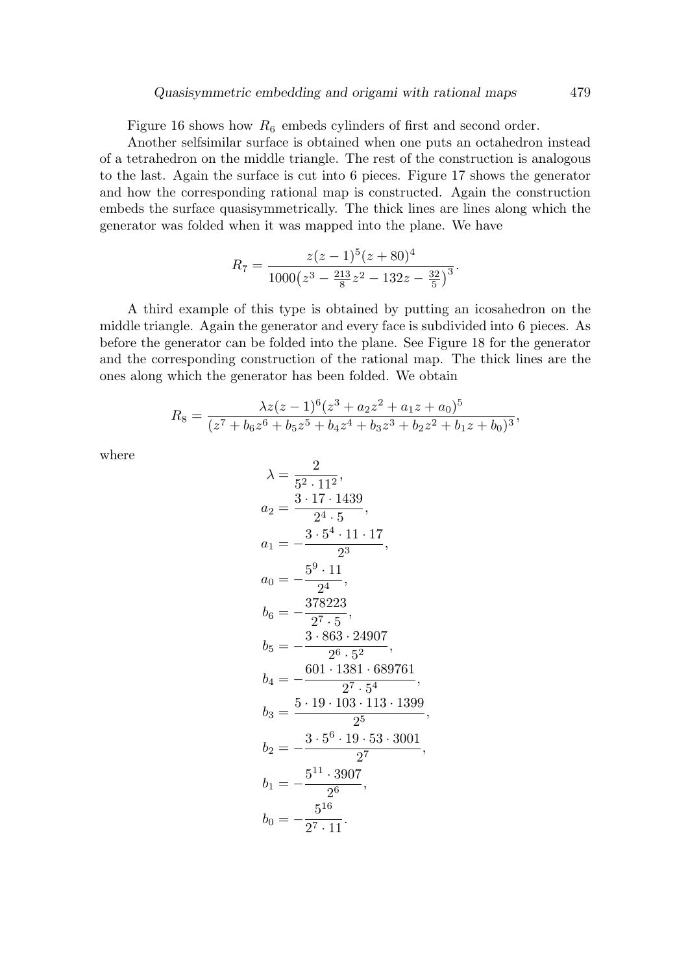Figure 16 shows how  $R_6$  embeds cylinders of first and second order.

Another selfsimilar surface is obtained when one puts an octahedron instead of a tetrahedron on the middle triangle. The rest of the construction is analogous to the last. Again the surface is cut into 6 pieces. Figure 17 shows the generator and how the corresponding rational map is constructed. Again the construction embeds the surface quasisymmetrically. The thick lines are lines along which the generator was folded when it was mapped into the plane. We have

$$
R_7 = \frac{z(z-1)^5(z+80)^4}{1000(z^3 - \frac{213}{8}z^2 - 132z - \frac{32}{5})^3}.
$$

A third example of this type is obtained by putting an icosahedron on the middle triangle. Again the generator and every face is subdivided into 6 pieces. As before the generator can be folded into the plane. See Figure 18 for the generator and the corresponding construction of the rational map. The thick lines are the ones along which the generator has been folded. We obtain

$$
R_8 = \frac{\lambda z (z-1)^6 (z^3 + a_2 z^2 + a_1 z + a_0)^5}{(z^7 + b_6 z^6 + b_5 z^5 + b_4 z^4 + b_3 z^3 + b_2 z^2 + b_1 z + b_0)^3},
$$

where

$$
\lambda = \frac{2}{5^2 \cdot 11^2},
$$
  
\n
$$
a_2 = \frac{3 \cdot 17 \cdot 1439}{2^4 \cdot 5},
$$
  
\n
$$
a_1 = -\frac{3 \cdot 5^4 \cdot 11 \cdot 17}{2^3},
$$
  
\n
$$
a_0 = -\frac{5^9 \cdot 11}{2^4},
$$
  
\n
$$
b_6 = -\frac{378223}{2^7 \cdot 5},
$$
  
\n
$$
b_5 = -\frac{3 \cdot 863 \cdot 24907}{2^6 \cdot 5^2},
$$
  
\n
$$
b_4 = -\frac{601 \cdot 1381 \cdot 689761}{2^7 \cdot 5^4},
$$
  
\n
$$
b_3 = \frac{5 \cdot 19 \cdot 103 \cdot 113 \cdot 1399}{2^5},
$$
  
\n
$$
b_2 = -\frac{3 \cdot 5^6 \cdot 19 \cdot 53 \cdot 3001}{2^7},
$$
  
\n
$$
b_1 = -\frac{5^{11} \cdot 3907}{2^6},
$$
  
\n
$$
b_0 = -\frac{5^{16}}{2^7 \cdot 11}.
$$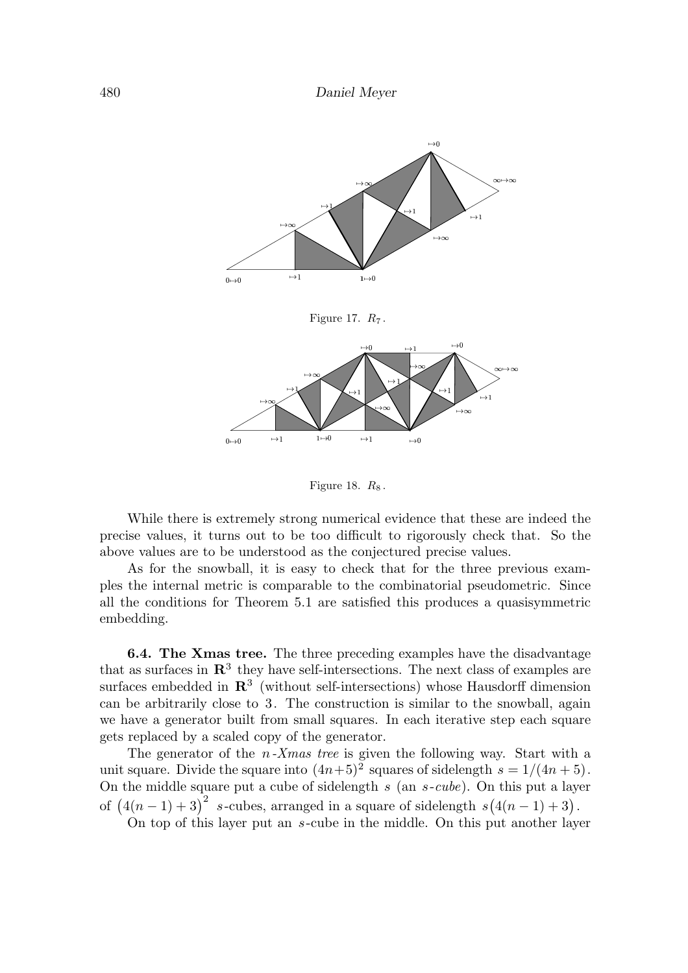

Figure 18.  $R_8$ .

While there is extremely strong numerical evidence that these are indeed the precise values, it turns out to be too difficult to rigorously check that. So the above values are to be understood as the conjectured precise values.

As for the snowball, it is easy to check that for the three previous examples the internal metric is comparable to the combinatorial pseudometric. Since all the conditions for Theorem 5.1 are satisfied this produces a quasisymmetric embedding.

6.4. The Xmas tree. The three preceding examples have the disadvantage that as surfaces in  $\mathbb{R}^3$  they have self-intersections. The next class of examples are surfaces embedded in  $\mathbb{R}^3$  (without self-intersections) whose Hausdorff dimension can be arbitrarily close to 3. The construction is similar to the snowball, again we have a generator built from small squares. In each iterative step each square gets replaced by a scaled copy of the generator.

The generator of the  $n-X$  as tree is given the following way. Start with a unit square. Divide the square into  $(4n+5)^2$  squares of sidelength  $s = 1/(4n+5)$ . On the middle square put a cube of sidelength  $s$  (an  $s$ -cube). On this put a layer of  $(4(n-1)+3)^2$  s-cubes, arranged in a square of sidelength  $s(4(n-1)+3)$ .

On top of this layer put an s-cube in the middle. On this put another layer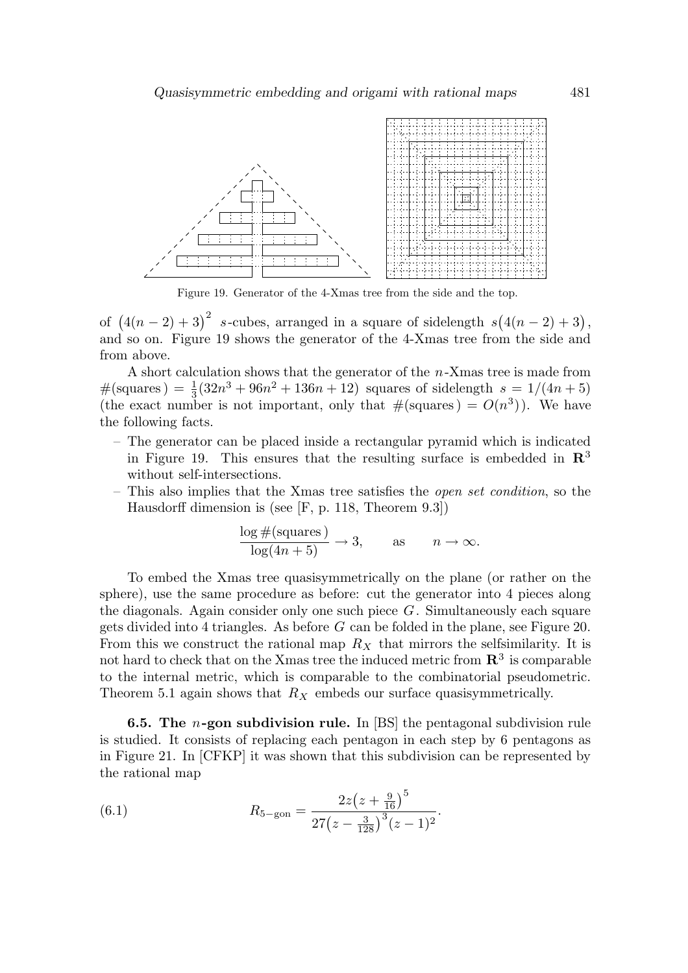

Figure 19. Generator of the 4-Xmas tree from the side and the top.

of  $(4(n-2)+3)^2$  s-cubes, arranged in a square of sidelength  $s(4(n-2)+3)$ , and so on. Figure 19 shows the generator of the 4-Xmas tree from the side and from above.

A short calculation shows that the generator of the n-Xmas tree is made from  $\#(\text{squares}) = \frac{1}{3}$  $\frac{1}{3}(32n^3+96n^2+136n+12)$  squares of sidelength  $s=1/(4n+5)$ (the exact number is not important, only that  $\#(\text{squares}) = O(n^3)$ ). We have the following facts.

- The generator can be placed inside a rectangular pyramid which is indicated in Figure 19. This ensures that the resulting surface is embedded in  $\mathbb{R}^3$ without self-intersections.
- This also implies that the Xmas tree satisfies the open set condition, so the Hausdorff dimension is (see [F, p. 118, Theorem 9.3])

$$
\frac{\log \#(\text{squares})}{\log(4n+5)} \to 3, \quad \text{as} \quad n \to \infty.
$$

To embed the Xmas tree quasisymmetrically on the plane (or rather on the sphere), use the same procedure as before: cut the generator into 4 pieces along the diagonals. Again consider only one such piece  $G$ . Simultaneously each square gets divided into 4 triangles. As before  $G$  can be folded in the plane, see Figure 20. From this we construct the rational map  $R_X$  that mirrors the selfsimilarity. It is not hard to check that on the Xmas tree the induced metric from  $\mathbb{R}^3$  is comparable to the internal metric, which is comparable to the combinatorial pseudometric. Theorem 5.1 again shows that  $R_X$  embeds our surface quasisymmetrically.

**6.5. The** *n*-gon subdivision rule. In [BS] the pentagonal subdivision rule is studied. It consists of replacing each pentagon in each step by 6 pentagons as in Figure 21. In [CFKP] it was shown that this subdivision can be represented by the rational map

.

(6.1) 
$$
R_{5-\text{gon}} = \frac{2z\left(z + \frac{9}{16}\right)^5}{27\left(z - \frac{3}{128}\right)^3(z - 1)^2}
$$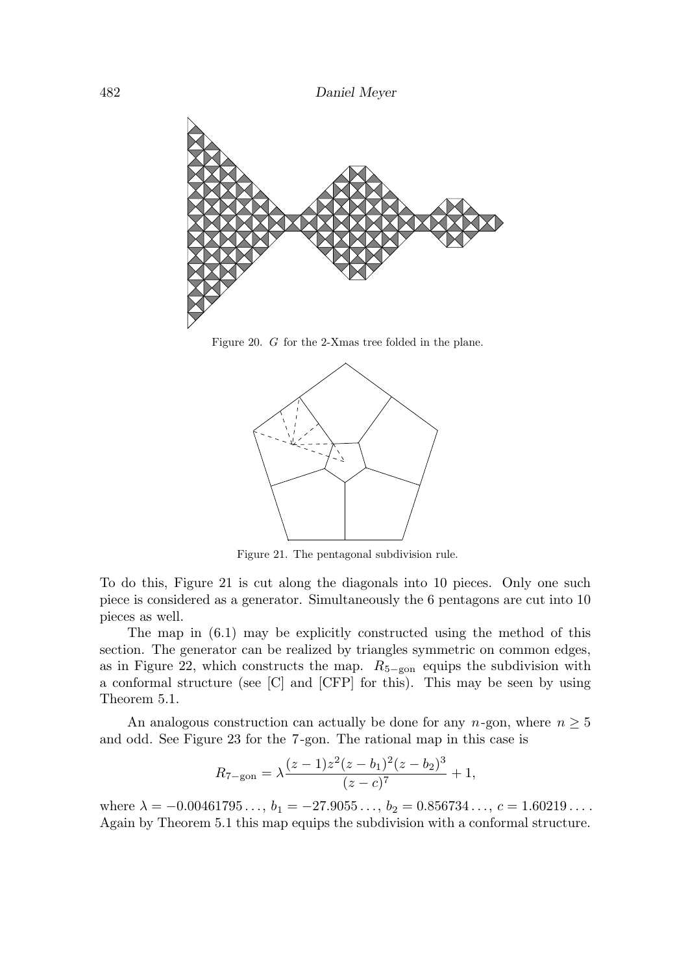

Figure 20. G for the 2-Xmas tree folded in the plane.



Figure 21. The pentagonal subdivision rule.

To do this, Figure 21 is cut along the diagonals into 10 pieces. Only one such piece is considered as a generator. Simultaneously the 6 pentagons are cut into 10 pieces as well.

The map in (6.1) may be explicitly constructed using the method of this section. The generator can be realized by triangles symmetric on common edges, as in Figure 22, which constructs the map.  $R_{5-\text{gon}}$  equips the subdivision with a conformal structure (see [C] and [CFP] for this). This may be seen by using Theorem 5.1.

An analogous construction can actually be done for any  $n$ -gon, where  $n \geq 5$ and odd. See Figure 23 for the 7-gon. The rational map in this case is

$$
R_{7-\text{gon}} = \lambda \frac{(z-1)z^2(z-b_1)^2(z-b_2)^3}{(z-c)^7} + 1,
$$

where  $\lambda = -0.00461795..., b_1 = -27.9055..., b_2 = 0.856734..., c = 1.60219....$ Again by Theorem 5.1 this map equips the subdivision with a conformal structure.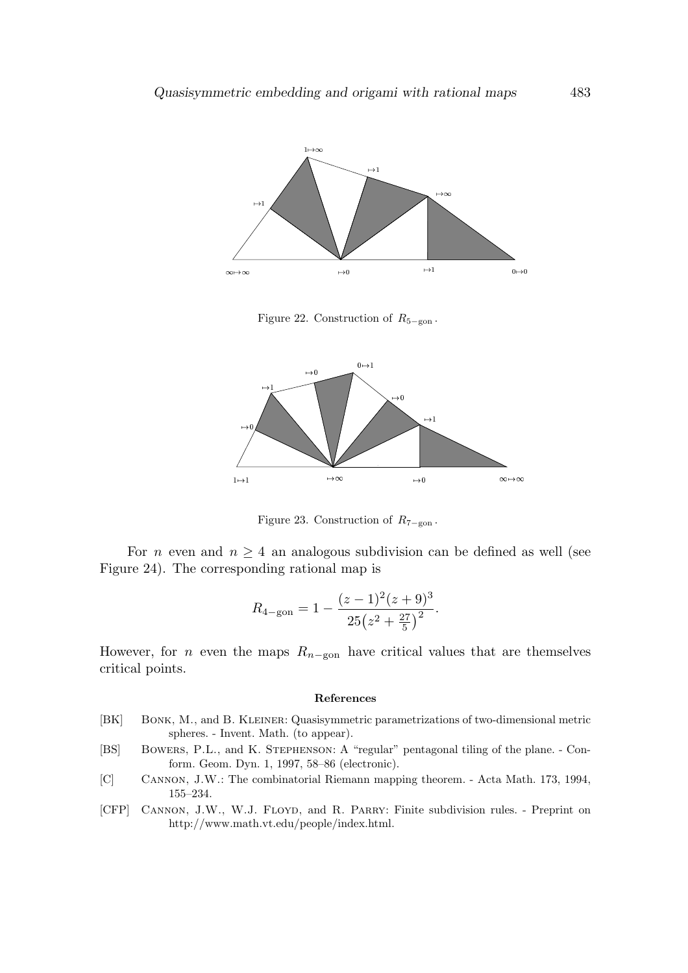

Figure 22. Construction of  $R_{5-\text{gon}}$ .



Figure 23. Construction of  $R_{7-\text{gon}}$ .

For *n* even and  $n \geq 4$  an analogous subdivision can be defined as well (see Figure 24). The corresponding rational map is

$$
R_{4-\text{gon}} = 1 - \frac{(z-1)^2(z+9)^3}{25(z^2 + \frac{27}{5})^2}.
$$

However, for *n* even the maps  $R_{n-gon}$  have critical values that are themselves critical points.

#### References

- [BK] Bonk, M., and B. Kleiner: Quasisymmetric parametrizations of two-dimensional metric spheres. - Invent. Math. (to appear).
- [BS] BOWERS, P.L., and K. STEPHENSON: A "regular" pentagonal tiling of the plane. Conform. Geom. Dyn. 1, 1997, 58–86 (electronic).
- [C] Cannon, J.W.: The combinatorial Riemann mapping theorem. Acta Math. 173, 1994, 155–234.
- [CFP] Cannon, J.W., W.J. Floyd, and R. Parry: Finite subdivision rules. Preprint on http://www.math.vt.edu/people/index.html.